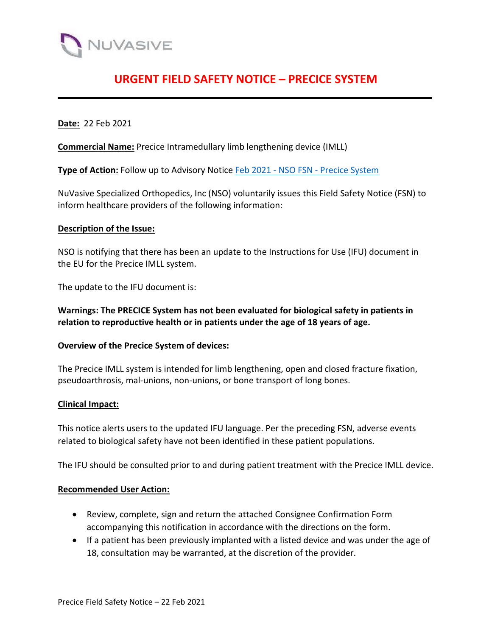

# **URGENT FIELD SAFETY NOTICE – PRECICE SYSTEM**

**Date:** 22 Feb 2021

**Commercial Name:** Precice Intramedullary limb lengthening device (IMLL)

**Type of Action:** Follow up to Advisory Notice Feb 2021 - NSO FSN - Precice System

NuVasive Specialized Orthopedics, Inc (NSO) voluntarily issues this Field Safety Notice (FSN) to inform healthcare providers of the following information:

#### **Description of the Issue:**

NSO is notifying that there has been an update to the Instructions for Use (IFU) document in the EU for the Precice IMLL system.

The update to the IFU document is:

**Warnings: The PRECICE System has not been evaluated for biological safety in patients in relation to reproductive health or in patients under the age of 18 years of age.**

#### **Overview of the Precice System of devices:**

The Precice IMLL system is intended for limb lengthening, open and closed fracture fixation, pseudoarthrosis, mal-unions, non-unions, or bone transport of long bones.

#### **Clinical Impact:**

This notice alerts users to the updated IFU language. Per the preceding FSN, adverse events related to biological safety have not been identified in these patient populations.

The IFU should be consulted prior to and during patient treatment with the Precice IMLL device.

#### **Recommended User Action:**

- Review, complete, sign and return the attached Consignee Confirmation Form accompanying this notification in accordance with the directions on the form.
- If a patient has been previously implanted with a listed device and was under the age of 18, consultation may be warranted, at the discretion of the provider.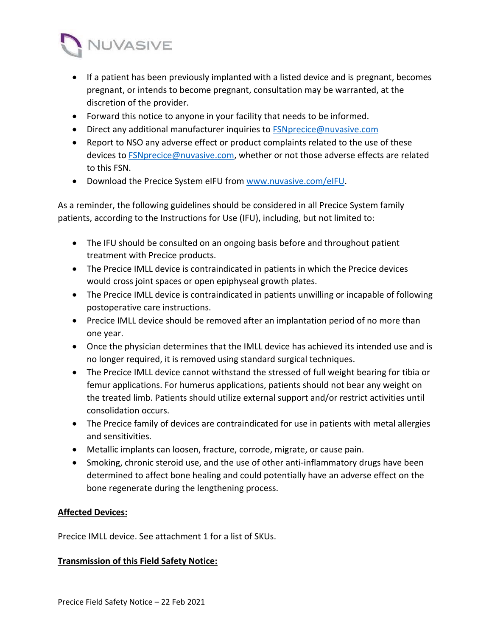

- If a patient has been previously implanted with a listed device and is pregnant, becomes pregnant, or intends to become pregnant, consultation may be warranted, at the discretion of the provider.
- Forward this notice to anyone in your facility that needs to be informed.
- Direct any additional manufacturer inquiries to FSNprecice@nuvasive.com
- Report to NSO any adverse effect or product complaints related to the use of these devices to **FSNprecice@nuvasive.com**, whether or not those adverse effects are related to this FSN.
- **•** Download the Precice System eIFU from www.nuvasive.com/eIFU.

As a reminder, the following guidelines should be considered in all Precice System family patients, according to the Instructions for Use (IFU), including, but not limited to:

- The IFU should be consulted on an ongoing basis before and throughout patient treatment with Precice products.
- The Precice IMLL device is contraindicated in patients in which the Precice devices would cross joint spaces or open epiphyseal growth plates.
- The Precice IMLL device is contraindicated in patients unwilling or incapable of following postoperative care instructions.
- Precice IMLL device should be removed after an implantation period of no more than one year.
- Once the physician determines that the IMLL device has achieved its intended use and is no longer required, it is removed using standard surgical techniques.
- The Precice IMLL device cannot withstand the stressed of full weight bearing for tibia or femur applications. For humerus applications, patients should not bear any weight on the treated limb. Patients should utilize external support and/or restrict activities until consolidation occurs.
- The Precice family of devices are contraindicated for use in patients with metal allergies and sensitivities.
- Metallic implants can loosen, fracture, corrode, migrate, or cause pain.
- Smoking, chronic steroid use, and the use of other anti-inflammatory drugs have been determined to affect bone healing and could potentially have an adverse effect on the bone regenerate during the lengthening process.

### **Affected Devices:**

Precice IMLL device. See attachment 1 for a list of SKUs.

### **Transmission of this Field Safety Notice:**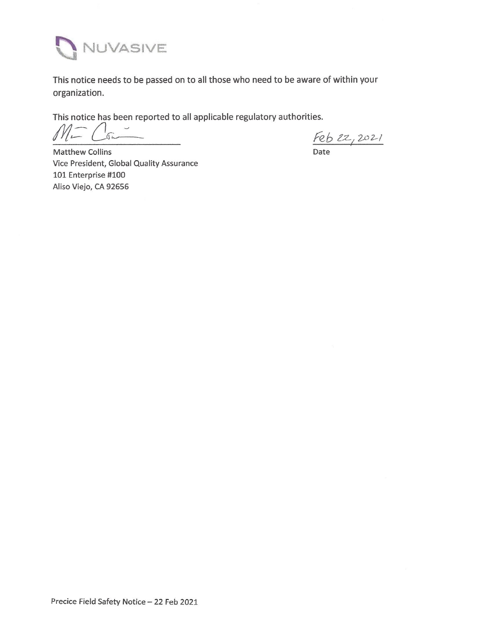

This notice needs to be passed on to all those who need to be aware of within your organization.

This notice has been reported to all applicable regulatory authorities.

 $\sqrt{}$ 

 $\frac{Feb2z,2021}{Rate}$ 

Matthew Collins Vice President, Global Quality Assurance 101 Enterprise #100 Aliso Viejo, CA 92656